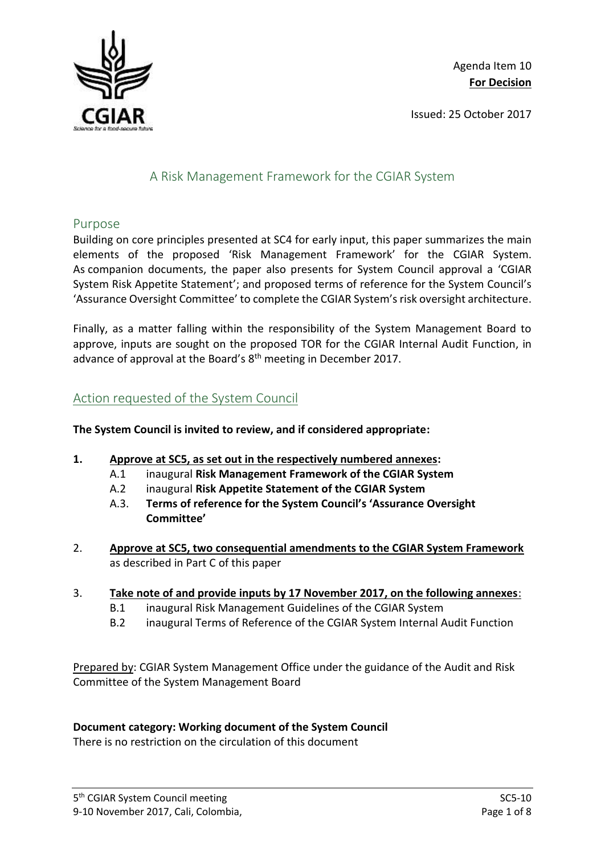

Issued: 25 October 2017

# A Risk Management Framework for the CGIAR System

### Purpose

Building on core principles presented at SC4 for early input, this paper summarizes the main elements of the proposed 'Risk Management Framework' for the CGIAR System. As companion documents, the paper also presents for System Council approval a 'CGIAR System Risk Appetite Statement'; and proposed terms of reference for the System Council's 'Assurance Oversight Committee' to complete the CGIAR System's risk oversight architecture.

Finally, as a matter falling within the responsibility of the System Management Board to approve, inputs are sought on the proposed TOR for the CGIAR Internal Audit Function, in advance of approval at the Board's 8<sup>th</sup> meeting in December 2017.

## Action requested of the System Council

### **The System Council is invited to review, and if considered appropriate:**

- **1. Approve at SC5, as set out in the respectively numbered annexes:**
	- A.1 inaugural **Risk Management Framework of the CGIAR System**
	- A.2 inaugural **Risk Appetite Statement of the CGIAR System**
	- A.3. **Terms of reference for the System Council's 'Assurance Oversight Committee'**
- 2. **Approve at SC5, two consequential amendments to the CGIAR System Framework** as described in Part C of this paper
- 3. **Take note of and provide inputs by 17 November 2017, on the following annexes**:
	- B.1 inaugural Risk Management Guidelines of the CGIAR System
	- B.2 inaugural Terms of Reference of the CGIAR System Internal Audit Function

Prepared by: CGIAR System Management Office under the guidance of the Audit and Risk Committee of the System Management Board

### **Document category: Working document of the System Council**

There is no restriction on the circulation of this document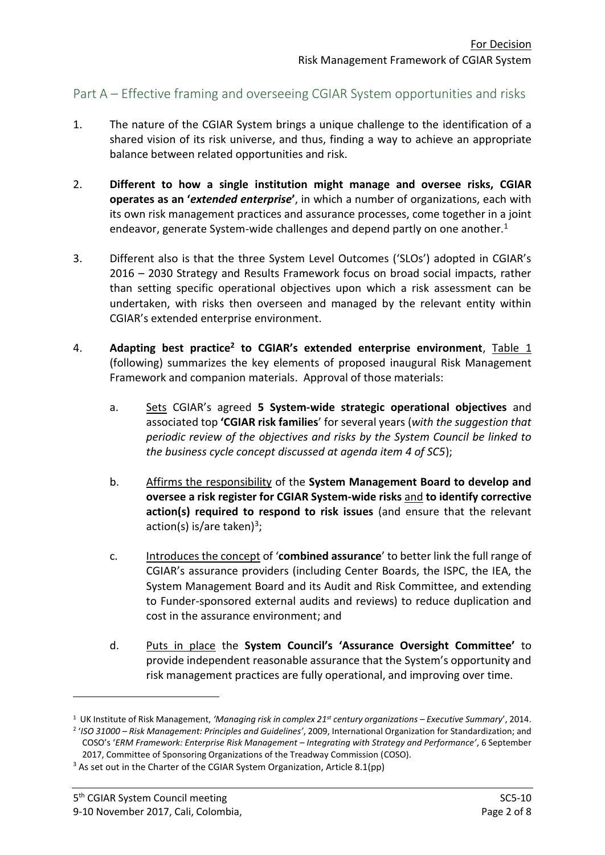## Part A – Effective framing and overseeing CGIAR System opportunities and risks

- 1. The nature of the CGIAR System brings a unique challenge to the identification of a shared vision of its risk universe, and thus, finding a way to achieve an appropriate balance between related opportunities and risk.
- 2. **Different to how a single institution might manage and oversee risks, CGIAR operates as an '***extended enterprise***'**, in which a number of organizations, each with its own risk management practices and assurance processes, come together in a joint endeavor, generate System-wide challenges and depend partly on one another.<sup>1</sup>
- 3. Different also is that the three System Level Outcomes ('SLOs') adopted in CGIAR's 2016 – 2030 Strategy and Results Framework focus on broad social impacts, rather than setting specific operational objectives upon which a risk assessment can be undertaken, with risks then overseen and managed by the relevant entity within CGIAR's extended enterprise environment.
- 4. **Adapting best practice<sup>2</sup> to CGIAR's extended enterprise environment**, Table 1 (following) summarizes the key elements of proposed inaugural Risk Management Framework and companion materials. Approval of those materials:
	- a. Sets CGIAR's agreed **5 System-wide strategic operational objectives** and associated top **'CGIAR risk families**' for several years (*with the suggestion that periodic review of the objectives and risks by the System Council be linked to the business cycle concept discussed at agenda item 4 of SC5*);
	- b. Affirms the responsibility of the **System Management Board to develop and oversee a risk register for CGIAR System-wide risks** and **to identify corrective action(s) required to respond to risk issues** (and ensure that the relevant action(s) is/are taken)<sup>3</sup>;
	- c. Introduces the concept of '**combined assurance**' to better link the full range of CGIAR's assurance providers (including Center Boards, the ISPC, the IEA, the System Management Board and its Audit and Risk Committee, and extending to Funder-sponsored external audits and reviews) to reduce duplication and cost in the assurance environment; and
	- d. Puts in place the **System Council's 'Assurance Oversight Committee'** to provide independent reasonable assurance that the System's opportunity and risk management practices are fully operational, and improving over time.

1

<sup>1</sup> UK Institute of Risk Management, *'Managing risk in complex 21st century organizations – Executive Summary*', 2014.

<sup>2</sup> '*ISO 31000 – Risk Management: Principles and Guidelines'*, 2009, International Organization for Standardization; and COSO's '*ERM Framework: Enterprise Risk Management – Integrating with Strategy and Performance'*, 6 September 2017, Committee of Sponsoring Organizations of the Treadway Commission (COSO).

<sup>&</sup>lt;sup>3</sup> As set out in the Charter of the CGIAR System Organization, Article 8.1(pp)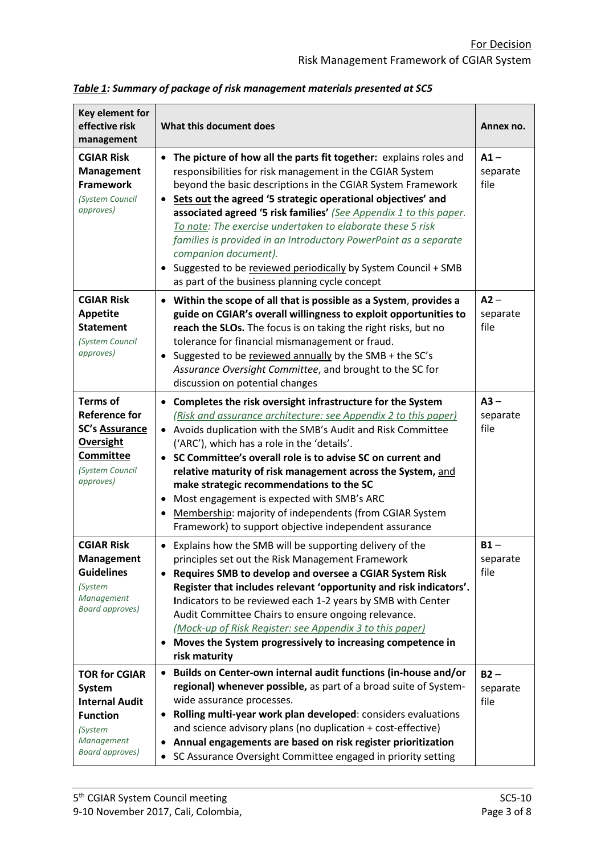| Key element for<br>effective risk<br>management                                                                               | What this document does                                                                                                                                                                                                                                                                                                                                                                                                                                                                                                                                                                                                        |                            |  |  |  |  |  |
|-------------------------------------------------------------------------------------------------------------------------------|--------------------------------------------------------------------------------------------------------------------------------------------------------------------------------------------------------------------------------------------------------------------------------------------------------------------------------------------------------------------------------------------------------------------------------------------------------------------------------------------------------------------------------------------------------------------------------------------------------------------------------|----------------------------|--|--|--|--|--|
| <b>CGIAR Risk</b><br>Management<br><b>Framework</b><br>(System Council<br>approves)                                           | • The picture of how all the parts fit together: explains roles and<br>responsibilities for risk management in the CGIAR System<br>beyond the basic descriptions in the CGIAR System Framework<br>Sets out the agreed '5 strategic operational objectives' and<br>$\bullet$<br>associated agreed '5 risk families' (See Appendix 1 to this paper.<br>To note: The exercise undertaken to elaborate these 5 risk<br>families is provided in an Introductory PowerPoint as a separate<br>companion document).<br>Suggested to be reviewed periodically by System Council + SMB<br>as part of the business planning cycle concept | $A1 -$<br>separate<br>file |  |  |  |  |  |
| <b>CGIAR Risk</b><br><b>Appetite</b><br><b>Statement</b><br>(System Council<br>approves)                                      | • Within the scope of all that is possible as a System, provides a<br>guide on CGIAR's overall willingness to exploit opportunities to<br>reach the SLOs. The focus is on taking the right risks, but no<br>tolerance for financial mismanagement or fraud.<br>• Suggested to be reviewed annually by the SMB + the SC's<br>Assurance Oversight Committee, and brought to the SC for<br>discussion on potential changes                                                                                                                                                                                                        |                            |  |  |  |  |  |
| <b>Terms of</b><br><b>Reference for</b><br><b>SC's Assurance</b><br>Oversight<br>Committee<br>(System Council<br>approves)    | Completes the risk oversight infrastructure for the System<br>$\bullet$<br>(Risk and assurance architecture: see Appendix 2 to this paper)<br>• Avoids duplication with the SMB's Audit and Risk Committee<br>('ARC'), which has a role in the 'details'.<br>• SC Committee's overall role is to advise SC on current and<br>relative maturity of risk management across the System, and<br>make strategic recommendations to the SC<br>Most engagement is expected with SMB's ARC<br>$\bullet$<br>Membership: majority of independents (from CGIAR System<br>Framework) to support objective independent assurance            | $A3 -$<br>separate<br>file |  |  |  |  |  |
| <b>CGIAR Risk</b><br><b>Management</b><br><b>Guidelines</b><br>(System<br>Management<br><b>Board approves)</b>                | Explains how the SMB will be supporting delivery of the<br>٠<br>principles set out the Risk Management Framework<br>Requires SMB to develop and oversee a CGIAR System Risk<br>$\bullet$<br>Register that includes relevant 'opportunity and risk indicators'.<br>Indicators to be reviewed each 1-2 years by SMB with Center<br>Audit Committee Chairs to ensure ongoing relevance.<br>(Mock-up of Risk Register: see Appendix 3 to this paper)<br>Moves the System progressively to increasing competence in<br>risk maturity                                                                                                |                            |  |  |  |  |  |
| <b>TOR for CGIAR</b><br>System<br><b>Internal Audit</b><br><b>Function</b><br>(System<br>Management<br><b>Board approves)</b> | Builds on Center-own internal audit functions (in-house and/or<br>$\bullet$<br>regional) whenever possible, as part of a broad suite of System-<br>wide assurance processes.<br>Rolling multi-year work plan developed: considers evaluations<br>$\bullet$<br>and science advisory plans (no duplication + cost-effective)<br>Annual engagements are based on risk register prioritization<br>٠<br>• SC Assurance Oversight Committee engaged in priority setting                                                                                                                                                              | $B2 -$<br>separate<br>file |  |  |  |  |  |

*Table 1: Summary of package of risk management materials presented at SC5*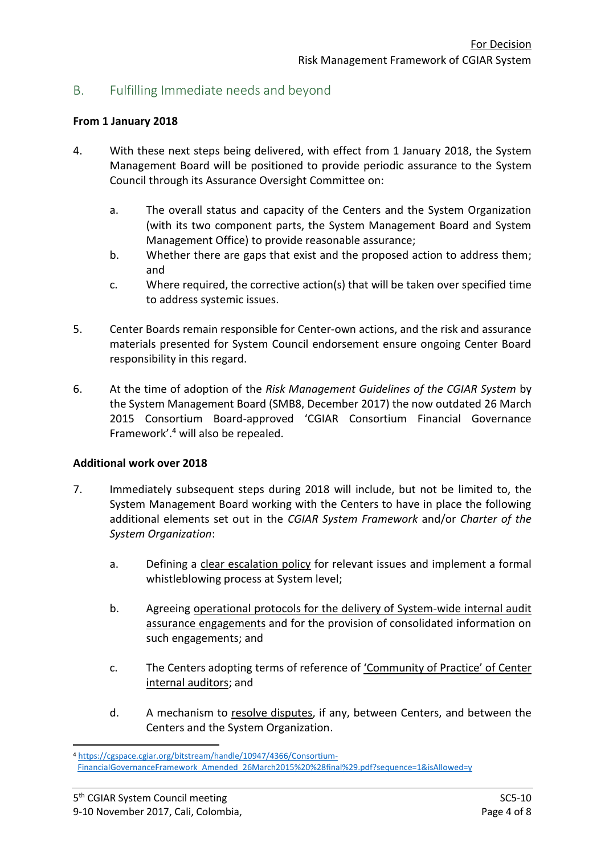## B. Fulfilling Immediate needs and beyond

#### **From 1 January 2018**

- 4. With these next steps being delivered, with effect from 1 January 2018, the System Management Board will be positioned to provide periodic assurance to the System Council through its Assurance Oversight Committee on:
	- a. The overall status and capacity of the Centers and the System Organization (with its two component parts, the System Management Board and System Management Office) to provide reasonable assurance;
	- b. Whether there are gaps that exist and the proposed action to address them; and
	- c. Where required, the corrective action(s) that will be taken over specified time to address systemic issues.
- 5. Center Boards remain responsible for Center-own actions, and the risk and assurance materials presented for System Council endorsement ensure ongoing Center Board responsibility in this regard.
- 6. At the time of adoption of the *Risk Management Guidelines of the CGIAR System* by the System Management Board (SMB8, December 2017) the now outdated 26 March 2015 Consortium Board-approved 'CGIAR Consortium Financial Governance Framework'.<sup>4</sup> will also be repealed.

#### **Additional work over 2018**

- 7. Immediately subsequent steps during 2018 will include, but not be limited to, the System Management Board working with the Centers to have in place the following additional elements set out in the *CGIAR System Framework* and/or *Charter of the System Organization*:
	- a. Defining a clear escalation policy for relevant issues and implement a formal whistleblowing process at System level;
	- b. Agreeing operational protocols for the delivery of System-wide internal audit assurance engagements and for the provision of consolidated information on such engagements; and
	- c. The Centers adopting terms of reference of 'Community of Practice' of Center internal auditors; and
	- d. A mechanism to resolve disputes, if any, between Centers, and between the Centers and the System Organization.

1

<sup>4</sup> [https://cgspace.cgiar.org/bitstream/handle/10947/4366/Consortium-](https://cgspace.cgiar.org/bitstream/handle/10947/4366/Consortium-FinancialGovernanceFramework_Amended_26March2015%20%28final%29.pdf?sequence=1&isAllowed=y)

[FinancialGovernanceFramework\\_Amended\\_26March2015%20%28final%29.pdf?sequence=1&isAllowed=y](https://cgspace.cgiar.org/bitstream/handle/10947/4366/Consortium-FinancialGovernanceFramework_Amended_26March2015%20%28final%29.pdf?sequence=1&isAllowed=y)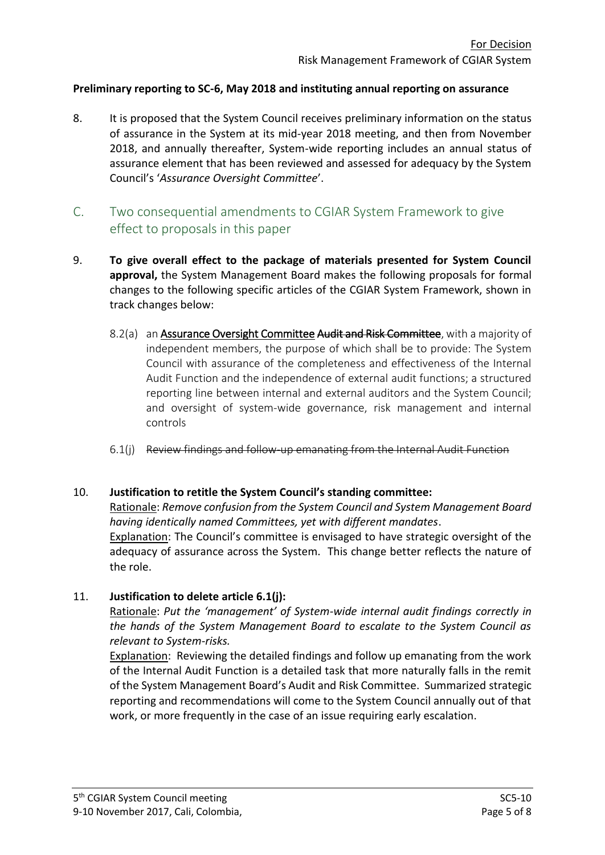### **Preliminary reporting to SC-6, May 2018 and instituting annual reporting on assurance**

- 8. It is proposed that the System Council receives preliminary information on the status of assurance in the System at its mid-year 2018 meeting, and then from November 2018, and annually thereafter, System-wide reporting includes an annual status of assurance element that has been reviewed and assessed for adequacy by the System Council's '*Assurance Oversight Committee*'.
- C. Two consequential amendments to CGIAR System Framework to give effect to proposals in this paper
- 9. **To give overall effect to the package of materials presented for System Council approval,** the System Management Board makes the following proposals for formal changes to the following specific articles of the CGIAR System Framework, shown in track changes below:
	- 8.2(a) an Assurance Oversight Committee Audit and Risk Committee, with a majority of independent members, the purpose of which shall be to provide: The System Council with assurance of the completeness and effectiveness of the Internal Audit Function and the independence of external audit functions; a structured reporting line between internal and external auditors and the System Council; and oversight of system-wide governance, risk management and internal controls
	- 6.1(j) Review findings and follow-up emanating from the Internal Audit Function

### 10. **Justification to retitle the System Council's standing committee:**

Rationale: *Remove confusion from the System Council and System Management Board having identically named Committees, yet with different mandates*.

Explanation: The Council's committee is envisaged to have strategic oversight of the adequacy of assurance across the System. This change better reflects the nature of the role.

## 11. **Justification to delete article 6.1(j):**

Rationale: *Put the 'management' of System-wide internal audit findings correctly in the hands of the System Management Board to escalate to the System Council as relevant to System-risks.*

Explanation: Reviewing the detailed findings and follow up emanating from the work of the Internal Audit Function is a detailed task that more naturally falls in the remit of the System Management Board's Audit and Risk Committee. Summarized strategic reporting and recommendations will come to the System Council annually out of that work, or more frequently in the case of an issue requiring early escalation.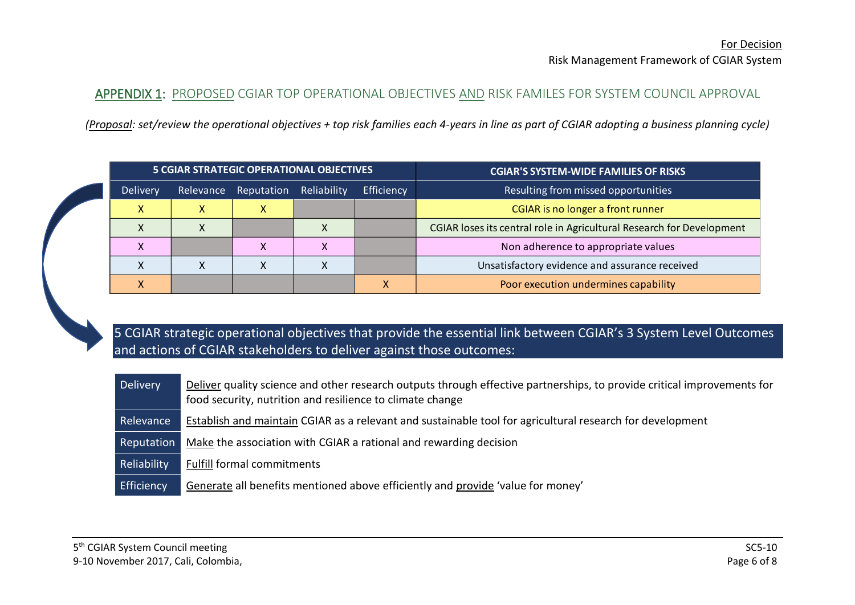## APPENDIX 1: PROPOSED CGIAR TOP OPERATIONAL OBJECTIVES AND RISK FAMILES FOR SYSTEM COUNCIL APPROVAL

*(Proposal: set/review the operational objectives + top risk families each 4-years in line as part of CGIAR adopting a business planning cycle)*

|           |           | <b>5 CGIAR STRATEGIC OPERATIONAL OBJECTIVES</b> |                           |                                                                       | <b>CGIAR'S SYSTEM-WIDE FAMILIES OF RISKS</b>   |  |  |  |  |
|-----------|-----------|-------------------------------------------------|---------------------------|-----------------------------------------------------------------------|------------------------------------------------|--|--|--|--|
| Delivery  | Relevance | Reputation                                      | Efficiency<br>Reliability |                                                                       | Resulting from missed opportunities            |  |  |  |  |
| X         | x         | X                                               |                           | <b>CGIAR</b> is no longer a front runner                              |                                                |  |  |  |  |
|           |           |                                                 |                           | CGIAR loses its central role in Agricultural Research for Development |                                                |  |  |  |  |
| $\lambda$ |           |                                                 | ⋏                         |                                                                       | Non adherence to appropriate values            |  |  |  |  |
| Χ         |           |                                                 |                           |                                                                       | Unsatisfactory evidence and assurance received |  |  |  |  |
|           |           |                                                 |                           |                                                                       | Poor execution undermines capability           |  |  |  |  |

5 CGIAR strategic operational objectives that provide the essential link between CGIAR's 3 System Level Outcomes and actions of CGIAR stakeholders to deliver against those outcomes:

Delivery Deliver quality science and other research outputs through effective partnerships, to provide critical improvements for food security, nutrition and resilience to climate change Relevance Establish and maintain CGIAR as a relevant and sustainable tool for agricultural research for development Reputation Make the association with CGIAR a rational and rewarding decision Reliability Fulfill formal commitments Efficiency Generate all benefits mentioned above efficiently and provide 'value for money'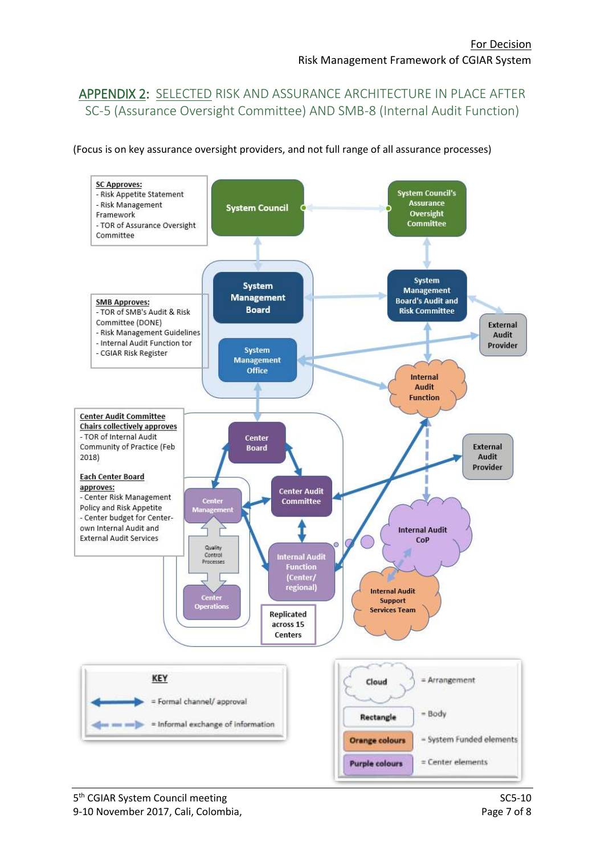# APPENDIX 2: SELECTED RISK AND ASSURANCE ARCHITECTURE IN PLACE AFTER SC-5 (Assurance Oversight Committee) AND SMB-8 (Internal Audit Function)

(Focus is on key assurance oversight providers, and not full range of all assurance processes)